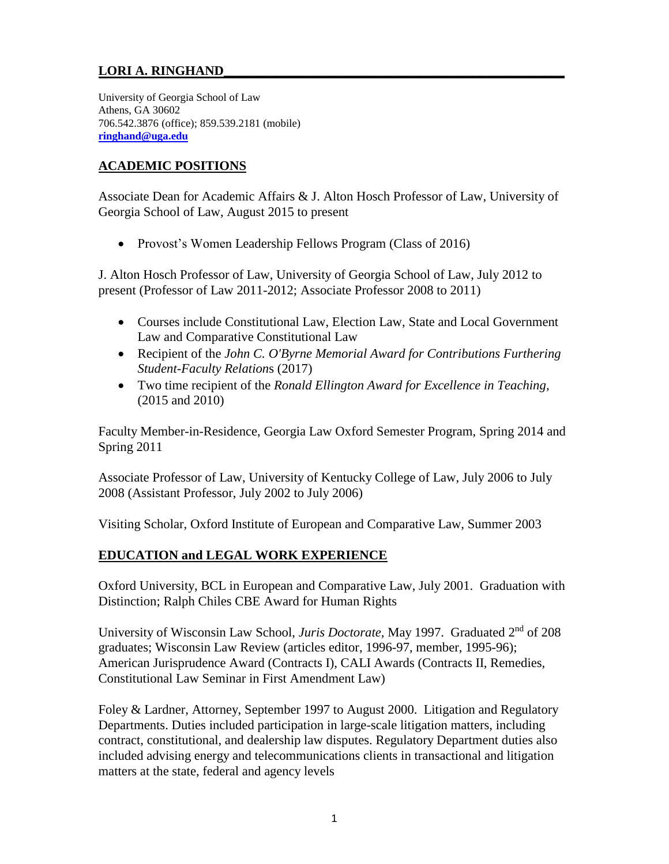# **LORI A. RINGHAND\_\_\_\_\_\_\_\_\_\_\_\_\_\_\_\_\_\_\_\_\_\_\_\_\_\_\_\_\_\_\_\_\_\_\_\_\_\_\_\_\_\_\_\_\_\_\_\_\_\_\_\_**

University of Georgia School of Law Athens, GA 30602 706.542.3876 (office); 859.539.2181 (mobile) **[ringhand@uga.edu](mailto:ringhand@uga.edu)**

### **ACADEMIC POSITIONS**

Associate Dean for Academic Affairs & J. Alton Hosch Professor of Law, University of Georgia School of Law, August 2015 to present

• Provost's Women Leadership Fellows Program (Class of 2016)

J. Alton Hosch Professor of Law, University of Georgia School of Law, July 2012 to present (Professor of Law 2011-2012; Associate Professor 2008 to 2011)

- Courses include Constitutional Law, Election Law, State and Local Government Law and Comparative Constitutional Law
- Recipient of the *John C. O'Byrne Memorial Award for Contributions Furthering Student-Faculty Relation*s (2017)
- Two time recipient of the *Ronald Ellington Award for Excellence in Teaching,*  (2015 and 2010)

Faculty Member-in-Residence, Georgia Law Oxford Semester Program, Spring 2014 and Spring 2011

Associate Professor of Law, University of Kentucky College of Law, July 2006 to July 2008 (Assistant Professor, July 2002 to July 2006)

Visiting Scholar, Oxford Institute of European and Comparative Law, Summer 2003

### **EDUCATION and LEGAL WORK EXPERIENCE**

Oxford University, BCL in European and Comparative Law, July 2001. Graduation with Distinction; Ralph Chiles CBE Award for Human Rights

University of Wisconsin Law School, *Juris Doctorate,* May 1997. Graduated 2nd of 208 graduates; Wisconsin Law Review (articles editor, 1996-97, member, 1995-96); American Jurisprudence Award (Contracts I), CALI Awards (Contracts II, Remedies, Constitutional Law Seminar in First Amendment Law)

Foley & Lardner, Attorney, September 1997 to August 2000. Litigation and Regulatory Departments. Duties included participation in large-scale litigation matters, including contract, constitutional, and dealership law disputes. Regulatory Department duties also included advising energy and telecommunications clients in transactional and litigation matters at the state, federal and agency levels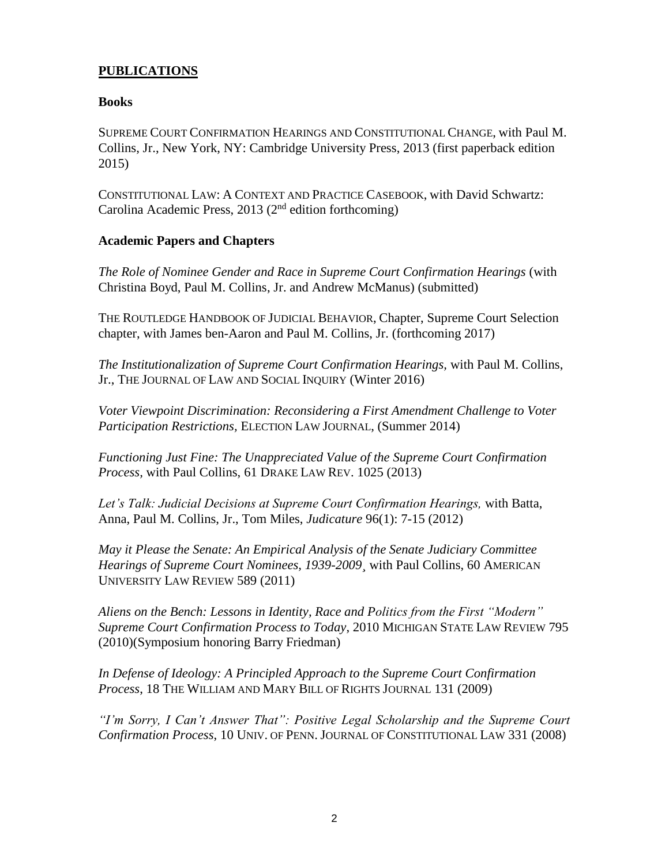### **PUBLICATIONS**

#### **Books**

SUPREME COURT CONFIRMATION HEARINGS AND CONSTITUTIONAL CHANGE, with Paul M. Collins, Jr., New York, NY: Cambridge University Press, 2013 (first paperback edition 2015)

CONSTITUTIONAL LAW: A CONTEXT AND PRACTICE CASEBOOK, with David Schwartz: Carolina Academic Press, 2013 ( $2<sup>nd</sup>$  edition forthcoming)

#### **Academic Papers and Chapters**

*The Role of Nominee Gender and Race in Supreme Court Confirmation Hearings* (with Christina Boyd, Paul M. Collins, Jr. and Andrew McManus) (submitted)

THE ROUTLEDGE HANDBOOK OF JUDICIAL BEHAVIOR, Chapter, Supreme Court Selection chapter, with James ben-Aaron and Paul M. Collins, Jr. (forthcoming 2017)

*The Institutionalization of Supreme Court Confirmation Hearings,* with Paul M. Collins, Jr., THE JOURNAL OF LAW AND SOCIAL INQUIRY (Winter 2016)

*Voter Viewpoint Discrimination: Reconsidering a First Amendment Challenge to Voter Participation Restrictions,* ELECTION LAW JOURNAL, (Summer 2014)

*Functioning Just Fine: The Unappreciated Value of the Supreme Court Confirmation Process,* with Paul Collins, 61 DRAKE LAW REV. 1025 (2013)

*Let's Talk: Judicial Decisions at Supreme Court Confirmation Hearings,* with Batta, Anna, Paul M. Collins, Jr., Tom Miles, *Judicature* 96(1): 7-15 (2012)

*May it Please the Senate: An Empirical Analysis of the Senate Judiciary Committee Hearings of Supreme Court Nominees, 1939-2009¸* with Paul Collins, 60 AMERICAN UNIVERSITY LAW REVIEW 589 (2011)

*Aliens on the Bench: Lessons in Identity, Race and Politics from the First "Modern" Supreme Court Confirmation Process to Today*, 2010 MICHIGAN STATE LAW REVIEW 795 (2010)(Symposium honoring Barry Friedman)

*In Defense of Ideology: A Principled Approach to the Supreme Court Confirmation Process*, 18 THE WILLIAM AND MARY BILL OF RIGHTS JOURNAL 131 (2009)

*"I'm Sorry, I Can't Answer That": Positive Legal Scholarship and the Supreme Court Confirmation Process*, 10 UNIV. OF PENN. JOURNAL OF CONSTITUTIONAL LAW 331 (2008)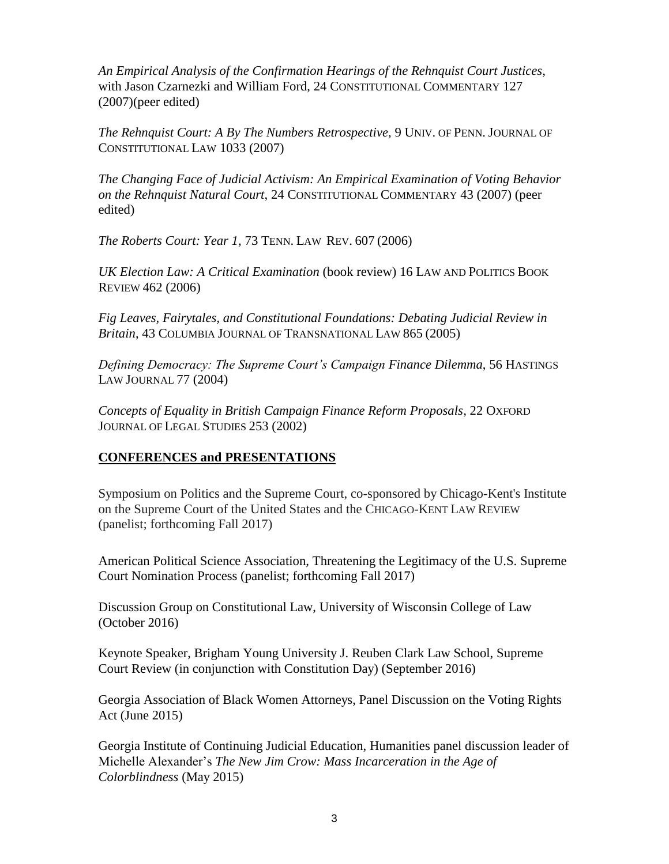*An Empirical Analysis of the Confirmation Hearings of the Rehnquist Court Justices,*  with Jason Czarnezki and William Ford, 24 CONSTITUTIONAL COMMENTARY 127 (2007)(peer edited)

*The Rehnquist Court: A By The Numbers Retrospective,* 9 UNIV. OF PENN. JOURNAL OF CONSTITUTIONAL LAW 1033 (2007)

*The Changing Face of Judicial Activism: An Empirical Examination of Voting Behavior on the Rehnquist Natural Court*, 24 CONSTITUTIONAL COMMENTARY 43 (2007) (peer edited)

*The Roberts Court: Year 1,* 73 TENN. LAW REV. 607 (2006)

*UK Election Law: A Critical Examination* (book review) 16 LAW AND POLITICS BOOK REVIEW 462 (2006)

*Fig Leaves, Fairytales, and Constitutional Foundations: Debating Judicial Review in Britain*, 43 COLUMBIA JOURNAL OF TRANSNATIONAL LAW 865 (2005)

*Defining Democracy: The Supreme Court's Campaign Finance Dilemma*, 56 HASTINGS LAW JOURNAL 77 (2004)

*Concepts of Equality in British Campaign Finance Reform Proposals,* 22 OXFORD JOURNAL OF LEGAL STUDIES 253 (2002)

# **CONFERENCES and PRESENTATIONS**

Symposium on Politics and the Supreme Court, co-sponsored by Chicago-Kent's Institute on the Supreme Court of the United States and the CHICAGO-KENT LAW REVIEW (panelist; forthcoming Fall 2017)

American Political Science Association, Threatening the Legitimacy of the U.S. Supreme Court Nomination Process (panelist; forthcoming Fall 2017)

Discussion Group on Constitutional Law, University of Wisconsin College of Law (October 2016)

Keynote Speaker, Brigham Young University J. Reuben Clark Law School, Supreme Court Review (in conjunction with Constitution Day) (September 2016)

Georgia Association of Black Women Attorneys, Panel Discussion on the Voting Rights Act (June 2015)

Georgia Institute of Continuing Judicial Education, Humanities panel discussion leader of Michelle Alexander's *The New Jim Crow: Mass Incarceration in the Age of Colorblindness* (May 2015)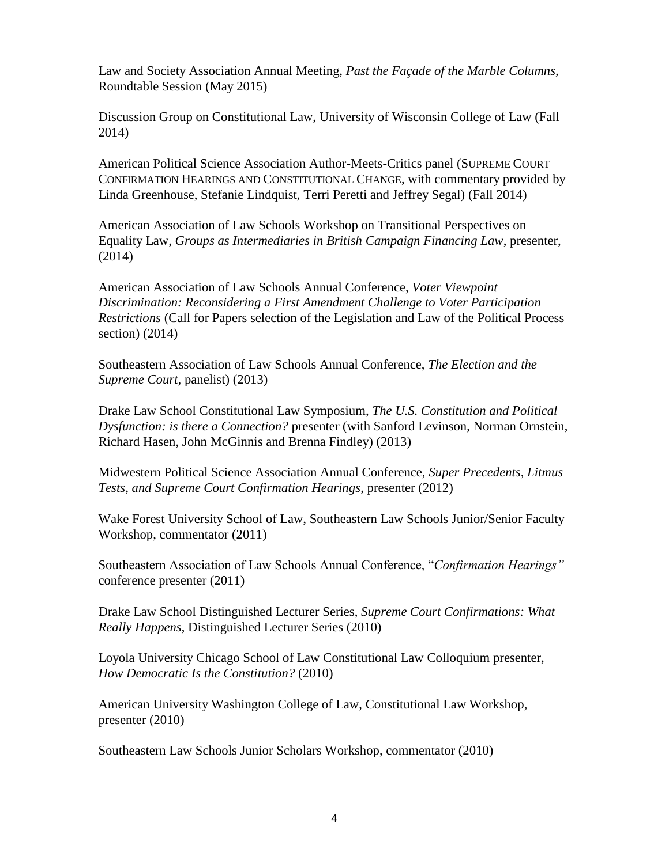Law and Society Association Annual Meeting, *Past the Façade of the Marble Columns,*  Roundtable Session (May 2015)

Discussion Group on Constitutional Law, University of Wisconsin College of Law (Fall 2014)

American Political Science Association Author-Meets-Critics panel (SUPREME COURT CONFIRMATION HEARINGS AND CONSTITUTIONAL CHANGE, with commentary provided by Linda Greenhouse, Stefanie Lindquist, Terri Peretti and Jeffrey Segal) (Fall 2014)

American Association of Law Schools Workshop on Transitional Perspectives on Equality Law, *Groups as Intermediaries in British Campaign Financing Law*, presenter, (2014)

American Association of Law Schools Annual Conference, *Voter Viewpoint Discrimination: Reconsidering a First Amendment Challenge to Voter Participation Restrictions* (Call for Papers selection of the Legislation and Law of the Political Process section) (2014)

Southeastern Association of Law Schools Annual Conference, *The Election and the Supreme Court,* panelist) (2013)

Drake Law School Constitutional Law Symposium, *The U.S. Constitution and Political Dysfunction: is there a Connection?* presenter (with Sanford Levinson, Norman Ornstein, Richard Hasen, John McGinnis and Brenna Findley) (2013)

Midwestern Political Science Association Annual Conference, *Super Precedents, Litmus Tests, and Supreme Court Confirmation Hearings*, presenter (2012)

Wake Forest University School of Law, Southeastern Law Schools Junior/Senior Faculty Workshop, commentator (2011)

Southeastern Association of Law Schools Annual Conference, "*Confirmation Hearings"* conference presenter (2011)

Drake Law School Distinguished Lecturer Series, *Supreme Court Confirmations: What Really Happens*, Distinguished Lecturer Series (2010)

Loyola University Chicago School of Law Constitutional Law Colloquium presenter, *How Democratic Is the Constitution?* (2010)

American University Washington College of Law, Constitutional Law Workshop, presenter (2010)

Southeastern Law Schools Junior Scholars Workshop, commentator (2010)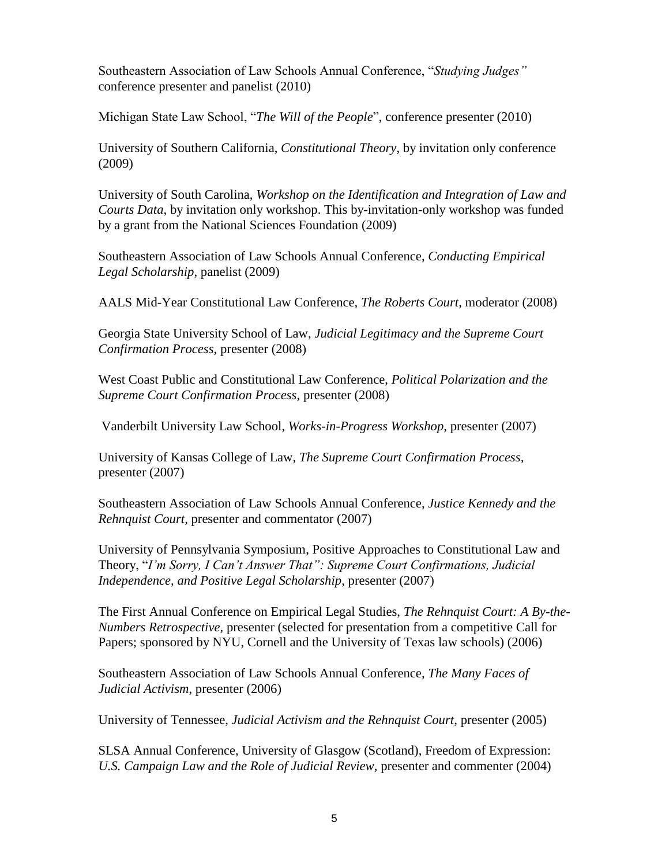Southeastern Association of Law Schools Annual Conference, "*Studying Judges"* conference presenter and panelist (2010)

Michigan State Law School, "*The Will of the People*", conference presenter (2010)

University of Southern California, *Constitutional Theory*, by invitation only conference (2009)

University of South Carolina, *Workshop on the Identification and Integration of Law and Courts Data*, by invitation only workshop. This by-invitation-only workshop was funded by a grant from the National Sciences Foundation (2009)

Southeastern Association of Law Schools Annual Conference, *Conducting Empirical Legal Scholarship*, panelist (2009)

AALS Mid-Year Constitutional Law Conference, *The Roberts Court*, moderator (2008)

Georgia State University School of Law, *Judicial Legitimacy and the Supreme Court Confirmation Process*, presenter (2008)

West Coast Public and Constitutional Law Conference, *Political Polarization and the Supreme Court Confirmation Process*, presenter (2008)

Vanderbilt University Law School, *Works-in-Progress Workshop*, presenter (2007)

University of Kansas College of Law, *The Supreme Court Confirmation Process,*  presenter (2007)

Southeastern Association of Law Schools Annual Conference, *Justice Kennedy and the Rehnquist Court,* presenter and commentator (2007)

University of Pennsylvania Symposium, Positive Approaches to Constitutional Law and Theory, "*I'm Sorry, I Can't Answer That": Supreme Court Confirmations, Judicial Independence, and Positive Legal Scholarship*, presenter (2007)

The First Annual Conference on Empirical Legal Studies, *The Rehnquist Court: A By-the-Numbers Retrospective*, presenter (selected for presentation from a competitive Call for Papers; sponsored by NYU, Cornell and the University of Texas law schools) (2006)

Southeastern Association of Law Schools Annual Conference, *The Many Faces of Judicial Activism*, presenter (2006)

University of Tennessee, *Judicial Activism and the Rehnquist Court*, presenter (2005)

SLSA Annual Conference, University of Glasgow (Scotland), Freedom of Expression: *U.S. Campaign Law and the Role of Judicial Review,* presenter and commenter (2004)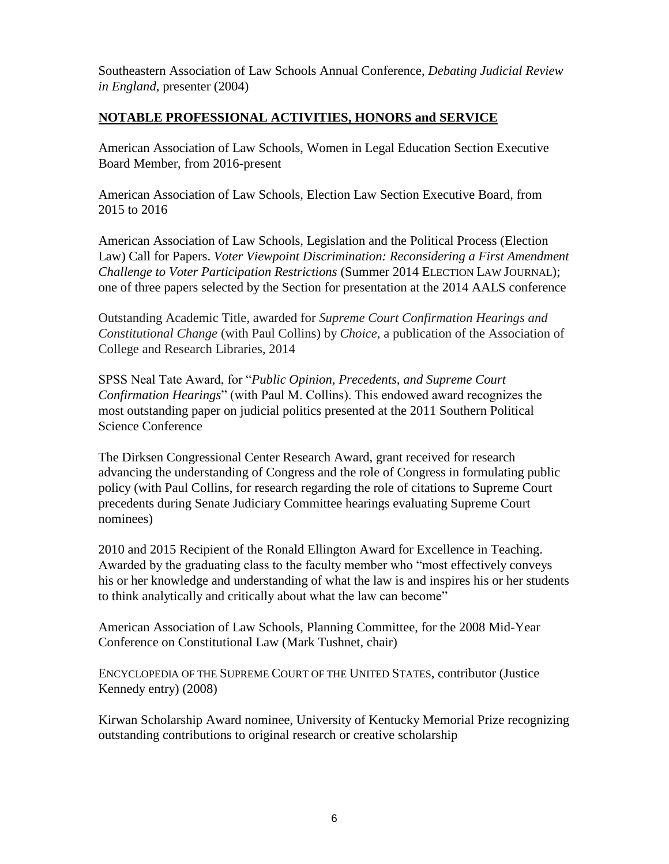Southeastern Association of Law Schools Annual Conference, *Debating Judicial Review in England*, presenter (2004)

#### **NOTABLE PROFESSIONAL ACTIVITIES, HONORS and SERVICE**

American Association of Law Schools, Women in Legal Education Section Executive Board Member, from 2016-present

American Association of Law Schools, Election Law Section Executive Board, from 2015 to 2016

American Association of Law Schools, Legislation and the Political Process (Election Law) Call for Papers. *Voter Viewpoint Discrimination: Reconsidering a First Amendment Challenge to Voter Participation Restrictions* (Summer 2014 ELECTION LAW JOURNAL); one of three papers selected by the Section for presentation at the 2014 AALS conference

Outstanding Academic Title, awarded for *Supreme Court Confirmation Hearings and Constitutional Change* (with Paul Collins) by *Choice,* a publication of the Association of College and Research Libraries, 2014

SPSS Neal Tate Award, for "*Public Opinion, Precedents, and Supreme Court Confirmation Hearings*" (with Paul M. Collins). This endowed award recognizes the most outstanding paper on judicial politics presented at the 2011 Southern Political Science Conference

The Dirksen Congressional Center Research Award, grant received for research advancing the understanding of Congress and the role of Congress in formulating public policy (with Paul Collins, for research regarding the role of citations to Supreme Court precedents during Senate Judiciary Committee hearings evaluating Supreme Court nominees)

2010 and 2015 Recipient of the Ronald Ellington Award for Excellence in Teaching. Awarded by the graduating class to the faculty member who "most effectively conveys his or her knowledge and understanding of what the law is and inspires his or her students to think analytically and critically about what the law can become"

American Association of Law Schools, Planning Committee, for the 2008 Mid-Year Conference on Constitutional Law (Mark Tushnet, chair)

ENCYCLOPEDIA OF THE SUPREME COURT OF THE UNITED STATES, contributor (Justice Kennedy entry) (2008)

Kirwan Scholarship Award nominee, University of Kentucky Memorial Prize recognizing outstanding contributions to original research or creative scholarship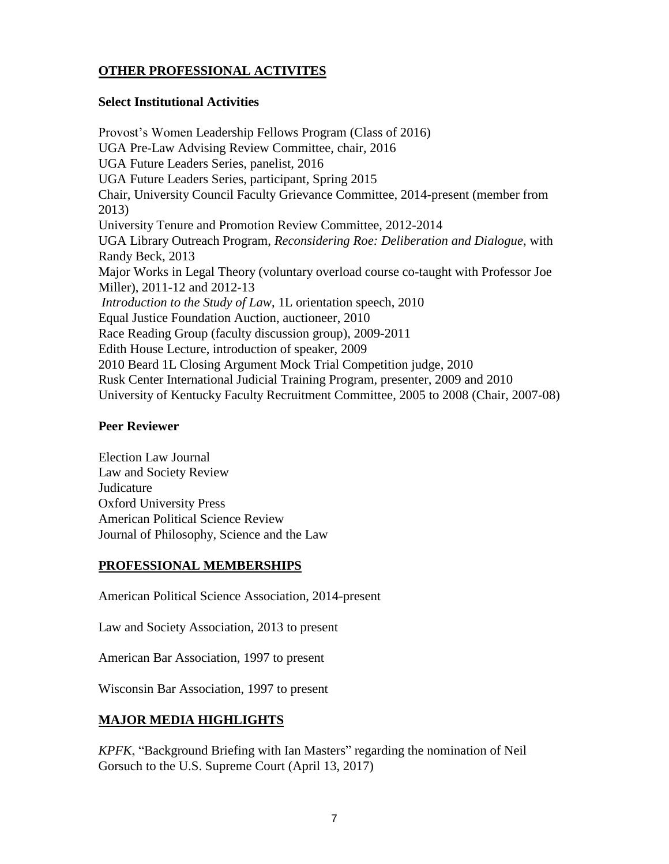# **OTHER PROFESSIONAL ACTIVITES**

#### **Select Institutional Activities**

Provost's Women Leadership Fellows Program (Class of 2016) UGA Pre-Law Advising Review Committee, chair, 2016 UGA Future Leaders Series, panelist, 2016 UGA Future Leaders Series, participant, Spring 2015 Chair, University Council Faculty Grievance Committee, 2014-present (member from 2013) University Tenure and Promotion Review Committee, 2012-2014 UGA Library Outreach Program, *Reconsidering Roe: Deliberation and Dialogue*, with Randy Beck, 2013 Major Works in Legal Theory (voluntary overload course co-taught with Professor Joe Miller), 2011-12 and 2012-13 *Introduction to the Study of Law*, 1L orientation speech, 2010 Equal Justice Foundation Auction, auctioneer, 2010 Race Reading Group (faculty discussion group), 2009-2011 Edith House Lecture, introduction of speaker, 2009 2010 Beard 1L Closing Argument Mock Trial Competition judge, 2010 Rusk Center International Judicial Training Program, presenter, 2009 and 2010 University of Kentucky Faculty Recruitment Committee, 2005 to 2008 (Chair, 2007-08)

#### **Peer Reviewer**

Election Law Journal Law and Society Review Judicature Oxford University Press American Political Science Review Journal of Philosophy, Science and the Law

### **PROFESSIONAL MEMBERSHIPS**

American Political Science Association, 2014-present

Law and Society Association, 2013 to present

American Bar Association, 1997 to present

Wisconsin Bar Association, 1997 to present

# **MAJOR MEDIA HIGHLIGHTS**

*KPFK*, "Background Briefing with Ian Masters" regarding the nomination of Neil Gorsuch to the U.S. Supreme Court (April 13, 2017)